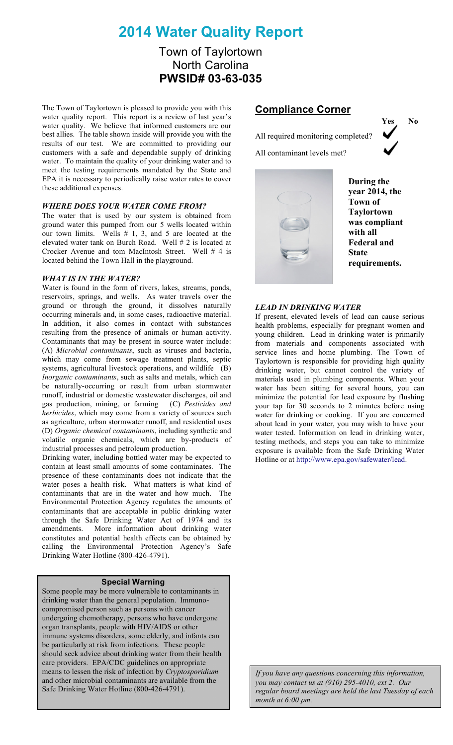# **2014 Water Quality Report**

### Town of Taylortown North Carolina **PWSID# 03-63-035**

The Town of Taylortown is pleased to provide you with this water quality report. This report is a review of last year's water quality. We believe that informed customers are our best allies. The table shown inside will provide you with the results of our test. We are committed to providing our customers with a safe and dependable supply of drinking water. To maintain the quality of your drinking water and to meet the testing requirements mandated by the State and EPA it is necessary to periodically raise water rates to cover these additional expenses.

#### *WHERE DOES YOUR WATER COME FROM?*

The water that is used by our system is obtained from ground water this pumped from our 5 wells located within our town limits. Wells # 1, 3, and 5 are located at the elevated water tank on Burch Road. Well # 2 is located at Crocker Avenue and tom MacIntosh Street. Well # 4 is located behind the Town Hall in the playground.

#### *WHAT IS IN THE WATER?*

Water is found in the form of rivers, lakes, streams, ponds, reservoirs, springs, and wells. As water travels over the ground or through the ground, it dissolves naturally occurring minerals and, in some cases, radioactive material. In addition, it also comes in contact with substances resulting from the presence of animals or human activity. Contaminants that may be present in source water include: (A) *Microbial contaminants*, such as viruses and bacteria, which may come from sewage treatment plants, septic systems, agricultural livestock operations, and wildlife (B) *Inorganic contaminants*, such as salts and metals, which can be naturally-occurring or result from urban stormwater runoff, industrial or domestic wastewater discharges, oil and gas production, mining, or farming (C) *Pesticides and herbicides*, which may come from a variety of sources such as agriculture, urban stormwater runoff, and residential uses (D) *Organic chemical contaminants*, including synthetic and volatile organic chemicals, which are by-products of industrial processes and petroleum production.

Drinking water, including bottled water may be expected to contain at least small amounts of some contaminates. The presence of these contaminants does not indicate that the water poses a health risk. What matters is what kind of contaminants that are in the water and how much. The Environmental Protection Agency regulates the amounts of contaminants that are acceptable in public drinking water through the Safe Drinking Water Act of 1974 and its amendments. More information about drinking water constitutes and potential health effects can be obtained by calling the Environmental Protection Agency's Safe Drinking Water Hotline (800-426-4791).

#### **Special Warning**

Some people may be more vulnerable to contaminants in drinking water than the general population. Immunocompromised person such as persons with cancer undergoing chemotherapy, persons who have undergone organ transplants, people with HIV/AIDS or other immune systems disorders, some elderly, and infants can be particularly at risk from infections. These people should seek advice about drinking water from their health care providers. EPA/CDC guidelines on appropriate means to lessen the risk of infection by *Cryptosporidium* and other microbial contaminants are available from the Safe Drinking Water Hotline (800-426-4791).

#### **Compliance Corner**

All required monitoring completed?

All contaminant levels met?



**During the year 2014, the Town of Taylortown was compliant with all Federal and State requirements.**

#### *LEAD IN DRINKING WATER*

If present, elevated levels of lead can cause serious health problems, especially for pregnant women and young children. Lead in drinking water is primarily from materials and components associated with service lines and home plumbing. The Town of Taylortown is responsible for providing high quality drinking water, but cannot control the variety of materials used in plumbing components. When your water has been sitting for several hours, you can minimize the potential for lead exposure by flushing your tap for 30 seconds to 2 minutes before using water for drinking or cooking. If you are concerned about lead in your water, you may wish to have your water tested. Information on lead in drinking water, testing methods, and steps you can take to minimize exposure is available from the Safe Drinking Water Hotline or at http://www.epa.gov/safewater/lead.

*If you have any questions concerning this information, you may contact us at (910) 295-4010, ext 2. Our regular board meetings are held the last Tuesday of each month at 6:00 pm.*

**Yes No**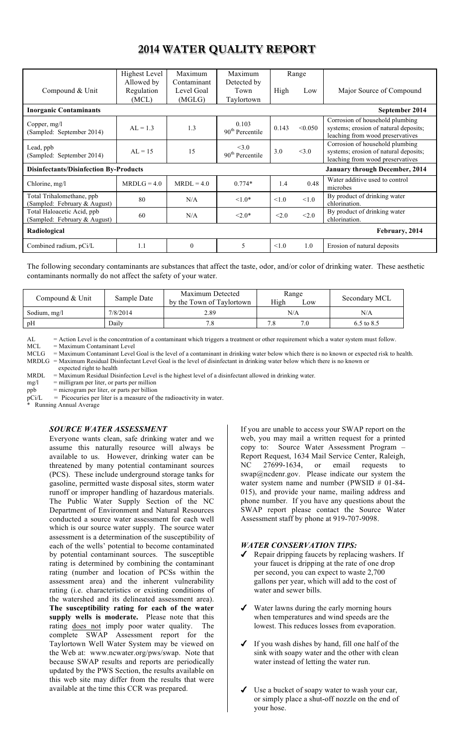### **2014 WATER QUALITY REPORT**

|                                                            | Highest Level            | Maximum                   | Maximum                              |            | Range                                 |                                                                                                              |
|------------------------------------------------------------|--------------------------|---------------------------|--------------------------------------|------------|---------------------------------------|--------------------------------------------------------------------------------------------------------------|
| Compound & Unit                                            | Allowed by<br>Regulation | Contaminant<br>Level Goal | Detected by<br>Town                  | High       | Low                                   | Major Source of Compound                                                                                     |
|                                                            | (MCL)                    | (MGLG)                    | Taylortown                           |            |                                       |                                                                                                              |
| <b>Inorganic Contaminants</b>                              |                          |                           | September 2014                       |            |                                       |                                                                                                              |
| Copper, $mg/l$<br>(Sampled: September 2014)                | $AL = 1.3$               | 1.3                       | 0.103<br>90 <sup>th</sup> Percentile | 0.143      | < 0.050                               | Corrosion of household plumbing<br>systems; erosion of natural deposits;<br>leaching from wood preservatives |
| Lead, ppb<br>(Sampled: September 2014)                     | $AI = 15$                | 15                        | <3.0<br>90 <sup>th</sup> Percentile  | 3.0        | <3.0                                  | Corrosion of household plumbing<br>systems; erosion of natural deposits;<br>leaching from wood preservatives |
| <b>Disinfectants/Disinfection By-Products</b>              |                          |                           |                                      |            | <b>January through December, 2014</b> |                                                                                                              |
| Chlorine, mg/l                                             | $MRDLG = 4.0$            | $MRDL = 4.0$              | $0.774*$                             | 1.4        | 0.48                                  | Water additive used to control<br>microbes                                                                   |
| Total Trihalomethane, ppb<br>(Sampled: February & August)  | 80                       | N/A                       | $1.0*$                               | $\leq 1.0$ | < 1.0                                 | By product of drinking water<br>chlorination.                                                                |
| Total Haloacetic Acid, ppb<br>(Sampled: February & August) | 60                       | N/A                       | $< 2.0*$                             | < 2.0      | < 2.0                                 | By product of drinking water<br>chlorination.                                                                |
| Radiological<br>February, 2014                             |                          |                           |                                      |            |                                       |                                                                                                              |
| Combined radium, pCi/L                                     | 1.1                      | $\mathbf{0}$              | 5                                    | < 1.0      | 1.0                                   | Erosion of natural deposits                                                                                  |

The following secondary contaminants are substances that affect the taste, odor, and/or color of drinking water. These aesthetic contaminants normally do not affect the safety of your water.

| Compound & Unit | Sample Date      | Maximum Detected<br>by the Town of Taylortown | Range<br>High<br>Low | Secondary MCL  |
|-----------------|------------------|-----------------------------------------------|----------------------|----------------|
| Sodium, mg/l    | 7/8/2014<br>2.89 |                                               | N/A                  | N/A            |
| pH              | Dailv            | 7.8                                           | 7.8                  | $6.5$ to $8.5$ |

AL = Action Level is the concentration of a contaminant which triggers a treatment or other requirement which a water system must follow.<br>MCL = Maximum Contaminant Level

 $MCL = Maximum Contaminant Level  
\nMCLG = Maximum Contaminant Level$ 

= Maximum Contaminant Level Goal is the level of a contaminant in drinking water below which there is no known or expected risk to health. MRDLG = Maximum Residual Disinfectant Level Goal is the level of disinfectant in drinking water below which there is no known or expected right to health

MRDL = Maximum Residual Disinfection Level is the highest level of a disinfectant allowed in drinking water.<br>mg/l = milligram per liter, or parts per million

mg/l = milligram per liter, or parts per million<br>ppb = microgram per liter, or parts per billion

ppb = microgram per liter, or parts per billion<br>pCi/L = Picocuries per liter is a measure of t

= Picocuries per liter is a measure of the radioactivity in water.

Running Annual Average

#### *SOURCE WATER ASSESSMENT*

Everyone wants clean, safe drinking water and we assume this naturally resource will always be available to us. However, drinking water can be threatened by many potential contaminant sources (PCS). These include underground storage tanks for gasoline, permitted waste disposal sites, storm water runoff or improper handling of hazardous materials. The Public Water Supply Section of the NC Department of Environment and Natural Resources conducted a source water assessment for each well which is our source water supply. The source water assessment is a determination of the susceptibility of each of the wells' potential to become contaminated by potential contaminant sources. The susceptible rating is determined by combining the contaminant rating (number and location of PCSs within the assessment area) and the inherent vulnerability rating (i.e. characteristics or existing conditions of the watershed and its delineated assessment area). **The susceptibility rating for each of the water supply wells is moderate.** Please note that this rating does not imply poor water quality. The complete SWAP Assessment report for the Taylortown Well Water System may be viewed on the Web at: www.ncwater.org/pws/swap. Note that because SWAP results and reports are periodically updated by the PWS Section, the results available on this web site may differ from the results that were available at the time this CCR was prepared.

If you are unable to access your SWAP report on the web, you may mail a written request for a printed copy to: Source Water Assessment Program – Report Request, 1634 Mail Service Center, Raleigh, NC 27699-1634, or email requests to swap@ncdenr.gov. Please indicate our system the water system name and number (PWSID # 01-84-015), and provide your name, mailing address and phone number. If you have any questions about the SWAP report please contact the Source Water Assessment staff by phone at 919-707-9098.

#### *WATER CONSERVATION TIPS:*

- ✔ Repair dripping faucets by replacing washers. If your faucet is dripping at the rate of one drop per second, you can expect to waste 2,700 gallons per year, which will add to the cost of water and sewer bills.
- Water lawns during the early morning hours when temperatures and wind speeds are the lowest. This reduces losses from evaporation.
- If you wash dishes by hand, fill one half of the sink with soapy water and the other with clean water instead of letting the water run.
- Use a bucket of soapy water to wash your car, or simply place a shut-off nozzle on the end of your hose.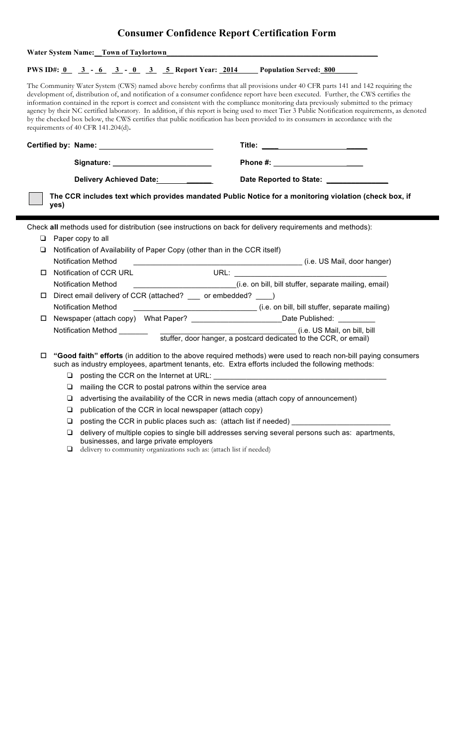## **Consumer Confidence Report Certification Form**

|                                       |                                                                       | <b>Water System Name:</b> Town of Taylortown |                                                                           |  |                                                                                                                                                                                                                                                                                                                                                                                                                                                                                                                                                                                                                                                                                                    |  |  |
|---------------------------------------|-----------------------------------------------------------------------|----------------------------------------------|---------------------------------------------------------------------------|--|----------------------------------------------------------------------------------------------------------------------------------------------------------------------------------------------------------------------------------------------------------------------------------------------------------------------------------------------------------------------------------------------------------------------------------------------------------------------------------------------------------------------------------------------------------------------------------------------------------------------------------------------------------------------------------------------------|--|--|
|                                       |                                                                       |                                              |                                                                           |  | <b>PWS ID#:</b> $\frac{0}{0}$ $\frac{3}{0}$ $\frac{1}{0}$ $\frac{6}{0}$ $\frac{3}{0}$ $\frac{1}{0}$ $\frac{3}{0}$ <b>Report Year:</b> 2014 Population Served: 800                                                                                                                                                                                                                                                                                                                                                                                                                                                                                                                                  |  |  |
|                                       |                                                                       | requirements of 40 CFR 141.204(d).           |                                                                           |  | The Community Water System (CWS) named above hereby confirms that all provisions under 40 CFR parts 141 and 142 requiring the<br>development of, distribution of, and notification of a consumer confidence report have been executed. Further, the CWS certifies the<br>information contained in the report is correct and consistent with the compliance monitoring data previously submitted to the primacy<br>agency by their NC certified laboratory. In addition, if this report is being used to meet Tier 3 Public Notification requirements, as denoted<br>by the checked box below, the CWS certifies that public notification has been provided to its consumers in accordance with the |  |  |
|                                       |                                                                       |                                              |                                                                           |  |                                                                                                                                                                                                                                                                                                                                                                                                                                                                                                                                                                                                                                                                                                    |  |  |
|                                       |                                                                       |                                              |                                                                           |  |                                                                                                                                                                                                                                                                                                                                                                                                                                                                                                                                                                                                                                                                                                    |  |  |
| Delivery Achieved Date: ______ ______ |                                                                       |                                              | Date Reported to State: _______________                                   |  |                                                                                                                                                                                                                                                                                                                                                                                                                                                                                                                                                                                                                                                                                                    |  |  |
|                                       | yes)                                                                  |                                              |                                                                           |  | The CCR includes text which provides mandated Public Notice for a monitoring violation (check box, if                                                                                                                                                                                                                                                                                                                                                                                                                                                                                                                                                                                              |  |  |
|                                       |                                                                       |                                              |                                                                           |  | Check all methods used for distribution (see instructions on back for delivery requirements and methods):                                                                                                                                                                                                                                                                                                                                                                                                                                                                                                                                                                                          |  |  |
| ❏                                     |                                                                       | Paper copy to all                            |                                                                           |  |                                                                                                                                                                                                                                                                                                                                                                                                                                                                                                                                                                                                                                                                                                    |  |  |
| ❏                                     |                                                                       |                                              | Notification of Availability of Paper Copy (other than in the CCR itself) |  |                                                                                                                                                                                                                                                                                                                                                                                                                                                                                                                                                                                                                                                                                                    |  |  |
|                                       | <b>Notification Method</b><br>(i.e. US Mail, door hanger)             |                                              |                                                                           |  |                                                                                                                                                                                                                                                                                                                                                                                                                                                                                                                                                                                                                                                                                                    |  |  |
| □                                     | Notification of CCR URL<br><b>URL: URL: CONSTITUTION</b>              |                                              |                                                                           |  |                                                                                                                                                                                                                                                                                                                                                                                                                                                                                                                                                                                                                                                                                                    |  |  |
|                                       |                                                                       | <b>Notification Method</b>                   |                                                                           |  | (i.e. on bill, bill stuffer, separate mailing, email)                                                                                                                                                                                                                                                                                                                                                                                                                                                                                                                                                                                                                                              |  |  |
| □                                     |                                                                       |                                              | Direct email delivery of CCR (attached? __ or embedded? __ )              |  |                                                                                                                                                                                                                                                                                                                                                                                                                                                                                                                                                                                                                                                                                                    |  |  |
|                                       | Notification Method<br>(i.e. on bill, bill stuffer, separate mailing) |                                              |                                                                           |  |                                                                                                                                                                                                                                                                                                                                                                                                                                                                                                                                                                                                                                                                                                    |  |  |
| □                                     |                                                                       |                                              |                                                                           |  | Newspaper (attach copy) What Paper? ____________________________Date Published: __________                                                                                                                                                                                                                                                                                                                                                                                                                                                                                                                                                                                                         |  |  |
|                                       |                                                                       | Notification Method _______                  |                                                                           |  | (i.e. US Mail, on bill, bill<br>stuffer, door hanger, a postcard dedicated to the CCR, or email)                                                                                                                                                                                                                                                                                                                                                                                                                                                                                                                                                                                                   |  |  |
| □                                     |                                                                       |                                              |                                                                           |  | "Good faith" efforts (in addition to the above required methods) were used to reach non-bill paying consumers<br>such as industry employees, apartment tenants, etc. Extra efforts included the following methods:                                                                                                                                                                                                                                                                                                                                                                                                                                                                                 |  |  |
|                                       |                                                                       |                                              |                                                                           |  |                                                                                                                                                                                                                                                                                                                                                                                                                                                                                                                                                                                                                                                                                                    |  |  |
|                                       | ⊔                                                                     |                                              | mailing the CCR to postal patrons within the service area                 |  |                                                                                                                                                                                                                                                                                                                                                                                                                                                                                                                                                                                                                                                                                                    |  |  |
|                                       | $\Box$                                                                |                                              |                                                                           |  | advertising the availability of the CCR in news media (attach copy of announcement)                                                                                                                                                                                                                                                                                                                                                                                                                                                                                                                                                                                                                |  |  |
|                                       | ❏                                                                     |                                              | publication of the CCR in local newspaper (attach copy)                   |  |                                                                                                                                                                                                                                                                                                                                                                                                                                                                                                                                                                                                                                                                                                    |  |  |
|                                       | ❏                                                                     |                                              |                                                                           |  | posting the CCR in public places such as: (attach list if needed) ______________                                                                                                                                                                                                                                                                                                                                                                                                                                                                                                                                                                                                                   |  |  |
|                                       | ❏                                                                     |                                              | businesses, and large private employers                                   |  | delivery of multiple copies to single bill addresses serving several persons such as: apartments,                                                                                                                                                                                                                                                                                                                                                                                                                                                                                                                                                                                                  |  |  |

❑ delivery to community organizations such as: (attach list if needed)